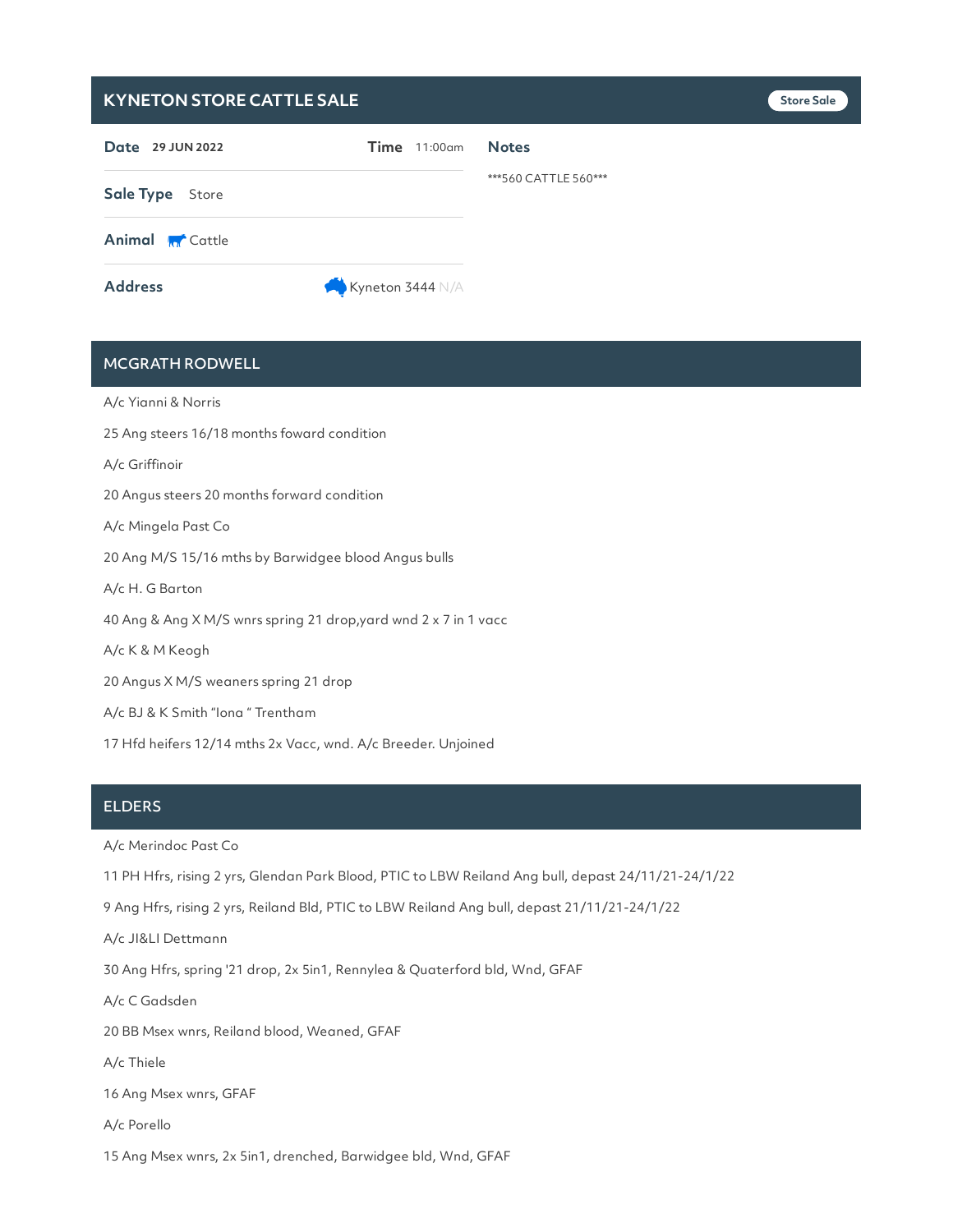## **KYNETON STORE CATTLE SALE Store Sale**

| Date 29 JUN 2022       | $Time$ 11:00 $am$ | <b>Notes</b>         |
|------------------------|-------------------|----------------------|
| Sale Type Store        |                   | ***560 CATTLE 560*** |
| <b>Animal M</b> Cattle |                   |                      |
| <b>Address</b>         | Kyneton 3444 N/A  |                      |

# MCGRATH RODWELL

A/c Yianni & Norris 25 Ang steers 16/18 months foward condition A/c Griffinoir 20 Angus steers 20 months forward condition A/c Mingela Past Co 20 Ang M/S 15/16 mths by Barwidgee blood Angus bulls A/c H. G Barton 40 Ang & Ang X M/S wnrs spring 21 drop,yard wnd 2 x 7 in 1 vacc A/c K & M Keogh 20 Angus X M/S weaners spring 21 drop A/c BJ & K Smith "Iona " Trentham

17 Hfd heifers 12/14 mths 2x Vacc, wnd. A/c Breeder. Unjoined

#### **ELDERS**

A/c Merindoc Past Co

11 PH Hfrs, rising 2 yrs, Glendan Park Blood, PTIC to LBW Reiland Ang bull, depast 24/11/21-24/1/22

9 Ang Hfrs, rising 2 yrs, Reiland Bld, PTIC to LBW Reiland Ang bull, depast 21/11/21-24/1/22

A/c JI&LI Dettmann

30 Ang Hfrs, spring '21 drop, 2x 5in1, Rennylea & Quaterford bld, Wnd, GFAF

A/c C Gadsden

20 BB Msex wnrs, Reiland blood, Weaned, GFAF

A/c Thiele

16 Ang Msex wnrs, GFAF

A/c Porello

15 Ang Msex wnrs, 2x 5in1, drenched, Barwidgee bld, Wnd, GFAF